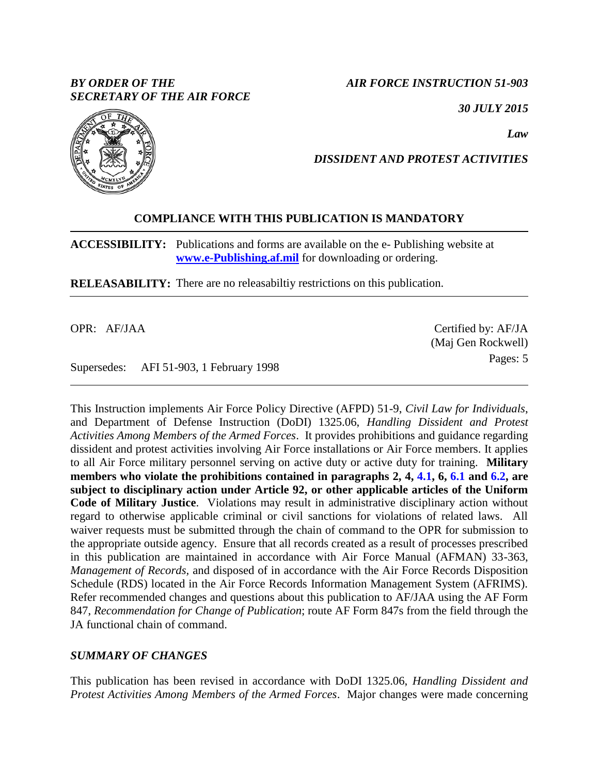## *BY ORDER OF THE SECRETARY OF THE AIR FORCE*

*AIR FORCE INSTRUCTION 51-903*

*30 JULY 2015*

*Law*

# *DISSIDENT AND PROTEST ACTIVITIES*

## **COMPLIANCE WITH THIS PUBLICATION IS MANDATORY**

**ACCESSIBILITY:** Publications and forms are available on the e- Publishing website at **[www.e-Publishing.af.mil](http://www.e-publishing.af.mil/)** for downloading or ordering.

**RELEASABILITY:** There are no releasabiltiy restrictions on this publication.

OPR: AF/JAA

Supersedes: AFI 51-903, 1 February 1998

This Instruction implements Air Force Policy Directive (AFPD) 51-9, *Civil Law for Individuals*, and Department of Defense Instruction (DoDI) 1325.06, *Handling Dissident and Protest Activities Among Members of the Armed Forces*. It provides prohibitions and guidance regarding dissident and protest activities involving Air Force installations or Air Force members. It applies to all Air Force military personnel serving on active duty or active duty for training. **Military members who violate the prohibitions contained in paragraphs 2, 4, [4.1,](#page-1-0) 6, [6.1](#page-3-0) and [6.2,](#page-3-1) are subject to disciplinary action under Article 92, or other applicable articles of the Uniform Code of Military Justice**. Violations may result in administrative disciplinary action without regard to otherwise applicable criminal or civil sanctions for violations of related laws. All waiver requests must be submitted through the chain of command to the OPR for submission to the appropriate outside agency. Ensure that all records created as a result of processes prescribed in this publication are maintained in accordance with Air Force Manual (AFMAN) 33-363, *Management of Records,* and disposed of in accordance with the Air Force Records Disposition Schedule (RDS) located in the Air Force Records Information Management System (AFRIMS). Refer recommended changes and questions about this publication to AF/JAA using the AF Form 847, *Recommendation for Change of Publication*; route AF Form 847s from the field through the JA functional chain of command.

## *SUMMARY OF CHANGES*

This publication has been revised in accordance with DoDI 1325.06, *Handling Dissident and Protest Activities Among Members of the Armed Forces*. Major changes were made concerning



Certified by: AF/JA (Maj Gen Rockwell) Pages: 5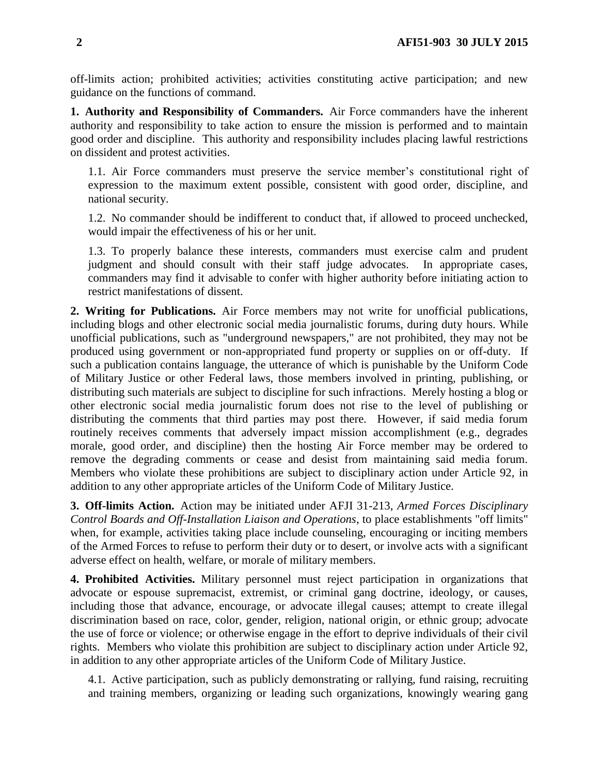off-limits action; prohibited activities; activities constituting active participation; and new guidance on the functions of command.

**1. Authority and Responsibility of Commanders.** Air Force commanders have the inherent authority and responsibility to take action to ensure the mission is performed and to maintain good order and discipline. This authority and responsibility includes placing lawful restrictions on dissident and protest activities.

1.1. Air Force commanders must preserve the service member's constitutional right of expression to the maximum extent possible, consistent with good order, discipline, and national security.

1.2. No commander should be indifferent to conduct that, if allowed to proceed unchecked, would impair the effectiveness of his or her unit.

1.3. To properly balance these interests, commanders must exercise calm and prudent judgment and should consult with their staff judge advocates. In appropriate cases, commanders may find it advisable to confer with higher authority before initiating action to restrict manifestations of dissent.

**2. Writing for Publications.** Air Force members may not write for unofficial publications, including blogs and other electronic social media journalistic forums, during duty hours. While unofficial publications, such as "underground newspapers," are not prohibited, they may not be produced using government or non-appropriated fund property or supplies on or off-duty. If such a publication contains language, the utterance of which is punishable by the Uniform Code of Military Justice or other Federal laws, those members involved in printing, publishing, or distributing such materials are subject to discipline for such infractions. Merely hosting a blog or other electronic social media journalistic forum does not rise to the level of publishing or distributing the comments that third parties may post there. However, if said media forum routinely receives comments that adversely impact mission accomplishment (e.g., degrades morale, good order, and discipline) then the hosting Air Force member may be ordered to remove the degrading comments or cease and desist from maintaining said media forum. Members who violate these prohibitions are subject to disciplinary action under Article 92, in addition to any other appropriate articles of the Uniform Code of Military Justice.

**3. Off-limits Action.** Action may be initiated under AFJI 31-213, *Armed Forces Disciplinary Control Boards and Off-Installation Liaison and Operations*, to place establishments "off limits" when, for example, activities taking place include counseling, encouraging or inciting members of the Armed Forces to refuse to perform their duty or to desert, or involve acts with a significant adverse effect on health, welfare, or morale of military members.

**4. Prohibited Activities.** Military personnel must reject participation in organizations that advocate or espouse supremacist, extremist, or criminal gang doctrine, ideology, or causes, including those that advance, encourage, or advocate illegal causes; attempt to create illegal discrimination based on race, color, gender, religion, national origin, or ethnic group; advocate the use of force or violence; or otherwise engage in the effort to deprive individuals of their civil rights. Members who violate this prohibition are subject to disciplinary action under Article 92, in addition to any other appropriate articles of the Uniform Code of Military Justice.

<span id="page-1-0"></span>4.1. Active participation, such as publicly demonstrating or rallying, fund raising, recruiting and training members, organizing or leading such organizations, knowingly wearing gang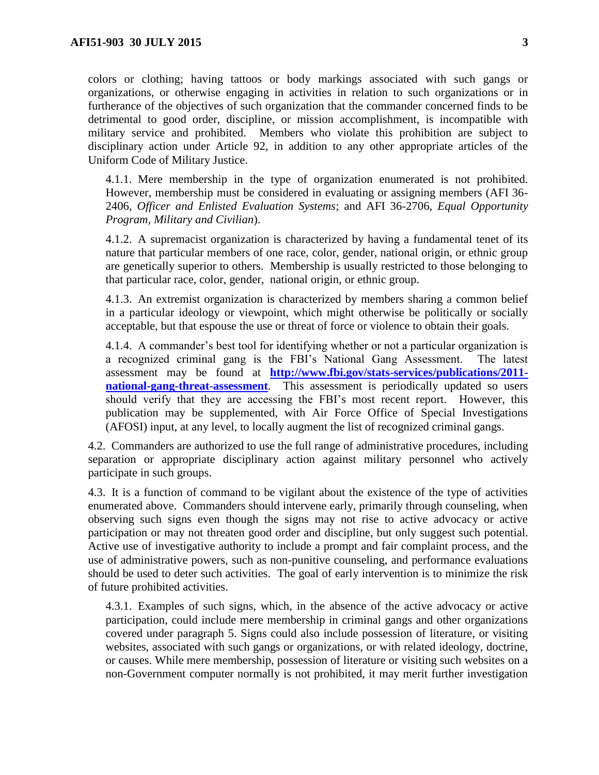colors or clothing; having tattoos or body markings associated with such gangs or organizations, or otherwise engaging in activities in relation to such organizations or in furtherance of the objectives of such organization that the commander concerned finds to be detrimental to good order, discipline, or mission accomplishment, is incompatible with military service and prohibited. Members who violate this prohibition are subject to disciplinary action under Article 92, in addition to any other appropriate articles of the Uniform Code of Military Justice.

4.1.1. Mere membership in the type of organization enumerated is not prohibited. However, membership must be considered in evaluating or assigning members (AFI 36- 2406, *Officer and Enlisted Evaluation Systems*; and AFI 36-2706, *Equal Opportunity Program, Military and Civilian*).

4.1.2. A supremacist organization is characterized by having a fundamental tenet of its nature that particular members of one race, color, gender, national origin, or ethnic group are genetically superior to others. Membership is usually restricted to those belonging to that particular race, color, gender, national origin, or ethnic group.

4.1.3. An extremist organization is characterized by members sharing a common belief in a particular ideology or viewpoint, which might otherwise be politically or socially acceptable, but that espouse the use or threat of force or violence to obtain their goals.

4.1.4. A commander's best tool for identifying whether or not a particular organization is a recognized criminal gang is the FBI's National Gang Assessment. The latest assessment may be found at **[http://www.fbi.gov/stats-services/publications/2011](http://www.fbi.gov/stats-services/publications/2011-national-gang-threat-assessment) [national-gang-threat-assessment](http://www.fbi.gov/stats-services/publications/2011-national-gang-threat-assessment)**. This assessment is periodically updated so users should verify that they are accessing the FBI's most recent report. However, this publication may be supplemented, with Air Force Office of Special Investigations (AFOSI) input, at any level, to locally augment the list of recognized criminal gangs.

4.2. Commanders are authorized to use the full range of administrative procedures, including separation or appropriate disciplinary action against military personnel who actively participate in such groups.

4.3. It is a function of command to be vigilant about the existence of the type of activities enumerated above. Commanders should intervene early, primarily through counseling, when observing such signs even though the signs may not rise to active advocacy or active participation or may not threaten good order and discipline, but only suggest such potential. Active use of investigative authority to include a prompt and fair complaint process, and the use of administrative powers, such as non-punitive counseling, and performance evaluations should be used to deter such activities. The goal of early intervention is to minimize the risk of future prohibited activities.

4.3.1. Examples of such signs, which, in the absence of the active advocacy or active participation, could include mere membership in criminal gangs and other organizations covered under paragraph 5. Signs could also include possession of literature, or visiting websites, associated with such gangs or organizations, or with related ideology, doctrine, or causes. While mere membership, possession of literature or visiting such websites on a non-Government computer normally is not prohibited, it may merit further investigation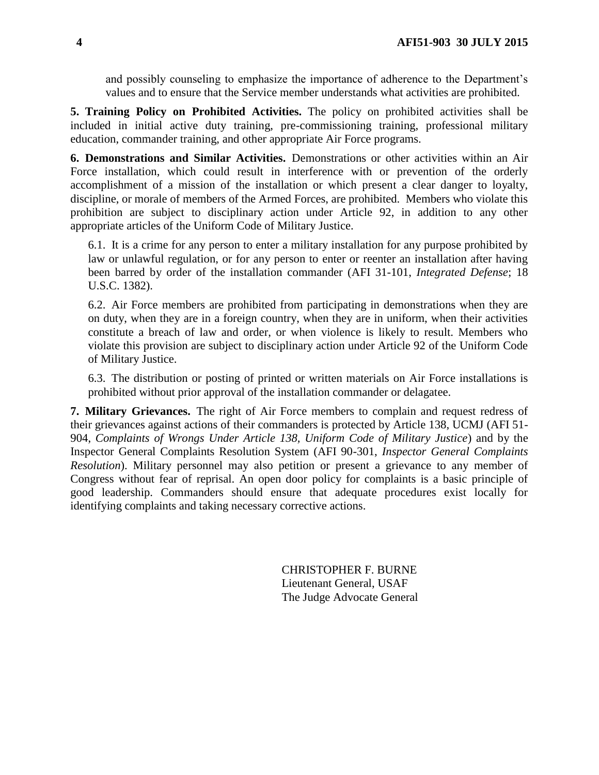and possibly counseling to emphasize the importance of adherence to the Department's values and to ensure that the Service member understands what activities are prohibited.

**5. Training Policy on Prohibited Activities.** The policy on prohibited activities shall be included in initial active duty training, pre-commissioning training, professional military education, commander training, and other appropriate Air Force programs.

**6. Demonstrations and Similar Activities.** Demonstrations or other activities within an Air Force installation, which could result in interference with or prevention of the orderly accomplishment of a mission of the installation or which present a clear danger to loyalty, discipline, or morale of members of the Armed Forces, are prohibited. Members who violate this prohibition are subject to disciplinary action under Article 92, in addition to any other appropriate articles of the Uniform Code of Military Justice.

<span id="page-3-0"></span>6.1. It is a crime for any person to enter a military installation for any purpose prohibited by law or unlawful regulation, or for any person to enter or reenter an installation after having been barred by order of the installation commander (AFI 31-101, *Integrated Defense*; 18 U.S.C. 1382).

<span id="page-3-1"></span>6.2. Air Force members are prohibited from participating in demonstrations when they are on duty, when they are in a foreign country, when they are in uniform, when their activities constitute a breach of law and order, or when violence is likely to result. Members who violate this provision are subject to disciplinary action under Article 92 of the Uniform Code of Military Justice.

6.3. The distribution or posting of printed or written materials on Air Force installations is prohibited without prior approval of the installation commander or delagatee.

**7. Military Grievances.** The right of Air Force members to complain and request redress of their grievances against actions of their commanders is protected by Article 138, UCMJ (AFI 51- 904, *Complaints of Wrongs Under Article 138, Uniform Code of Military Justice*) and by the Inspector General Complaints Resolution System (AFI 90-301, *Inspector General Complaints Resolution*). Military personnel may also petition or present a grievance to any member of Congress without fear of reprisal. An open door policy for complaints is a basic principle of good leadership. Commanders should ensure that adequate procedures exist locally for identifying complaints and taking necessary corrective actions.

> CHRISTOPHER F. BURNE Lieutenant General, USAF The Judge Advocate General